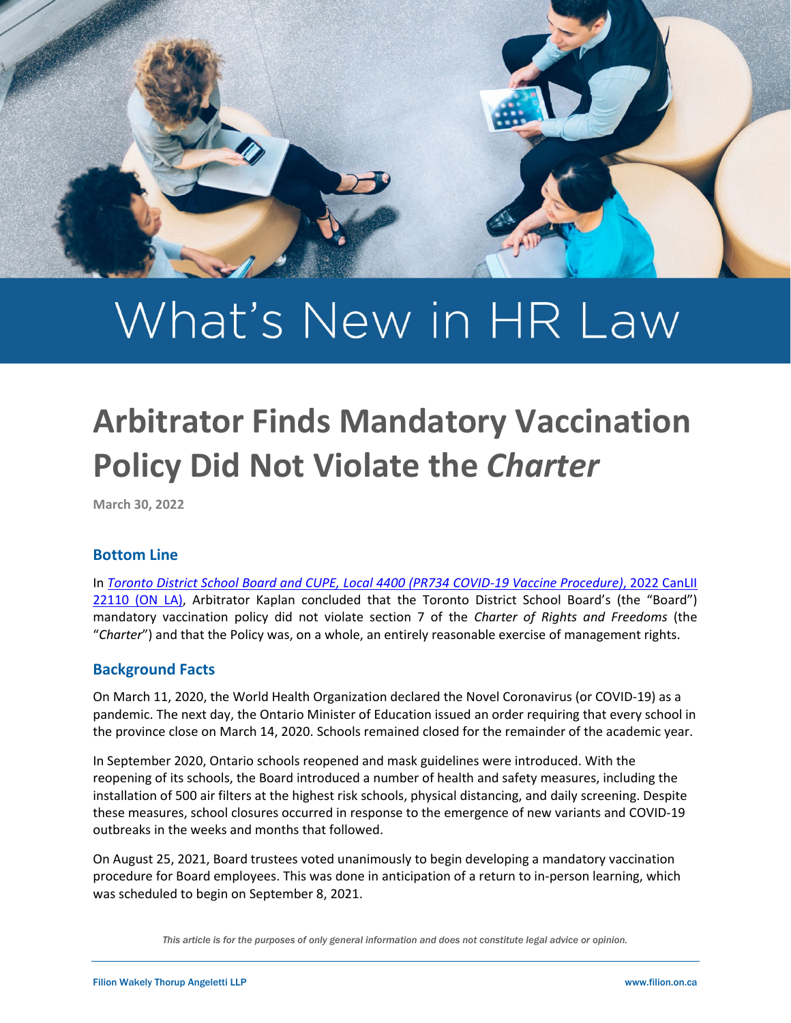

# What's New in HR Law

# **Arbitrator Finds Mandatory Vaccination Policy Did Not Violate the** *Charter*

**March 30, 2022**

# **Bottom Line**

In *[Toronto District School Board and CUPE, Local 4400 \(PR734 COVID-19 Vaccine Procedure\)](https://www.canlii.org/en/on/onla/doc/2022/2022canlii22110/2022canlii22110.html?searchUrlHash=AAAAAQAyImxhcmdlc3QgYW5kIG1vc3QgZGl2ZXJzZSBzY2hvb2wgYm9hcmRzIGluIENhbmFkYSIAAAAAAQ&resultIndex=1)*, 2022 CanLII 22110 (ON LA), Arbitrator Kaplan concluded that the Toronto District School Board's (the "Board") mandatory vaccination policy did not violate section 7 of the *Charter of Rights and Freedoms* (the "*Charter*") and that the Policy was, on a whole, an entirely reasonable exercise of management rights.

# **Background Facts**

On March 11, 2020, the World Health Organization declared the Novel Coronavirus (or COVID-19) as a pandemic. The next day, the Ontario Minister of Education issued an order requiring that every school in the province close on March 14, 2020. Schools remained closed for the remainder of the academic year.

In September 2020, Ontario schools reopened and mask guidelines were introduced. With the reopening of its schools, the Board introduced a number of health and safety measures, including the installation of 500 air filters at the highest risk schools, physical distancing, and daily screening. Despite these measures, school closures occurred in response to the emergence of new variants and COVID-19 outbreaks in the weeks and months that followed.

On August 25, 2021, Board trustees voted unanimously to begin developing a mandatory vaccination procedure for Board employees. This was done in anticipation of a return to in-person learning, which was scheduled to begin on September 8, 2021.

*This article is for the purposes of only general information and does not constitute legal advice or opinion.*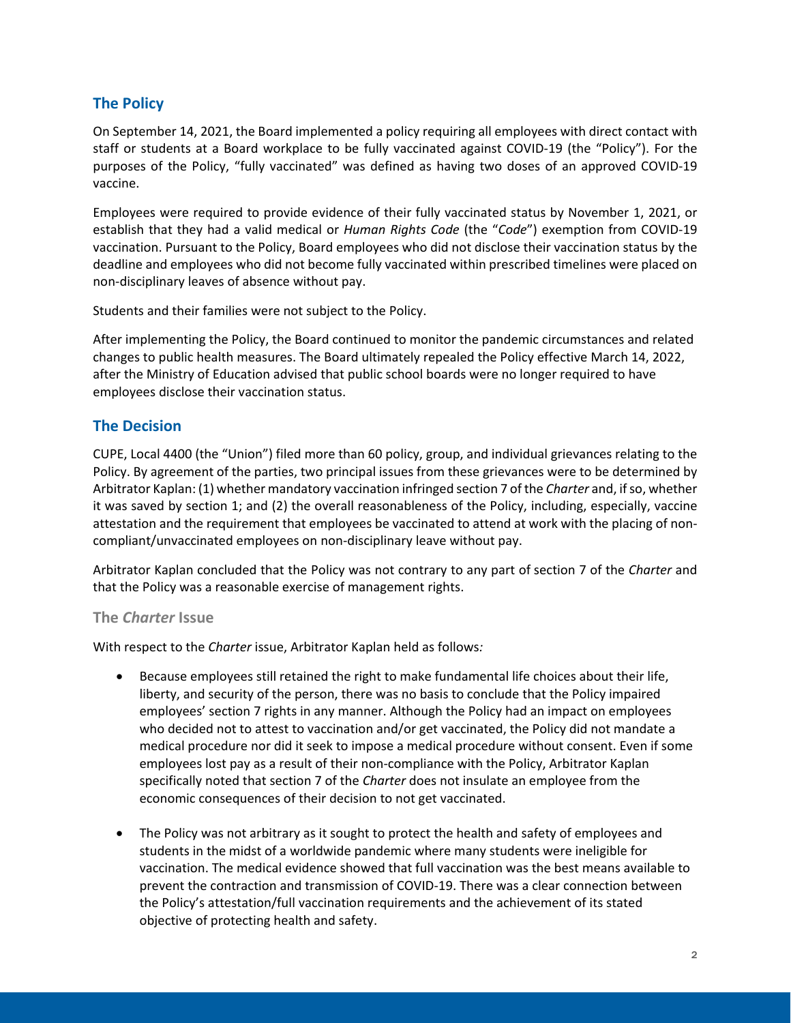# **The Policy**

On September 14, 2021, the Board implemented a policy requiring all employees with direct contact with staff or students at a Board workplace to be fully vaccinated against COVID-19 (the "Policy"). For the purposes of the Policy, "fully vaccinated" was defined as having two doses of an approved COVID-19 vaccine.

Employees were required to provide evidence of their fully vaccinated status by November 1, 2021, or establish that they had a valid medical or *Human Rights Code* (the "*Code*") exemption from COVID-19 vaccination. Pursuant to the Policy, Board employees who did not disclose their vaccination status by the deadline and employees who did not become fully vaccinated within prescribed timelines were placed on non-disciplinary leaves of absence without pay.

Students and their families were not subject to the Policy.

After implementing the Policy, the Board continued to monitor the pandemic circumstances and related changes to public health measures. The Board ultimately repealed the Policy effective March 14, 2022, after the Ministry of Education advised that public school boards were no longer required to have employees disclose their vaccination status.

# **The Decision**

CUPE, Local 4400 (the "Union") filed more than 60 policy, group, and individual grievances relating to the Policy. By agreement of the parties, two principal issues from these grievances were to be determined by Arbitrator Kaplan: (1) whether mandatory vaccination infringed section 7 of the *Charter* and, if so, whether it was saved by section 1; and (2) the overall reasonableness of the Policy, including, especially, vaccine attestation and the requirement that employees be vaccinated to attend at work with the placing of noncompliant/unvaccinated employees on non-disciplinary leave without pay.

Arbitrator Kaplan concluded that the Policy was not contrary to any part of section 7 of the *Charter* and that the Policy was a reasonable exercise of management rights.

#### **The** *Charter* **Issue**

With respect to the *Charter* issue, Arbitrator Kaplan held as follows*:* 

- Because employees still retained the right to make fundamental life choices about their life, liberty, and security of the person, there was no basis to conclude that the Policy impaired employees' section 7 rights in any manner. Although the Policy had an impact on employees who decided not to attest to vaccination and/or get vaccinated, the Policy did not mandate a medical procedure nor did it seek to impose a medical procedure without consent. Even if some employees lost pay as a result of their non-compliance with the Policy, Arbitrator Kaplan specifically noted that section 7 of the *Charter* does not insulate an employee from the economic consequences of their decision to not get vaccinated.
- The Policy was not arbitrary as it sought to protect the health and safety of employees and students in the midst of a worldwide pandemic where many students were ineligible for vaccination. The medical evidence showed that full vaccination was the best means available to prevent the contraction and transmission of COVID-19. There was a clear connection between the Policy's attestation/full vaccination requirements and the achievement of its stated objective of protecting health and safety.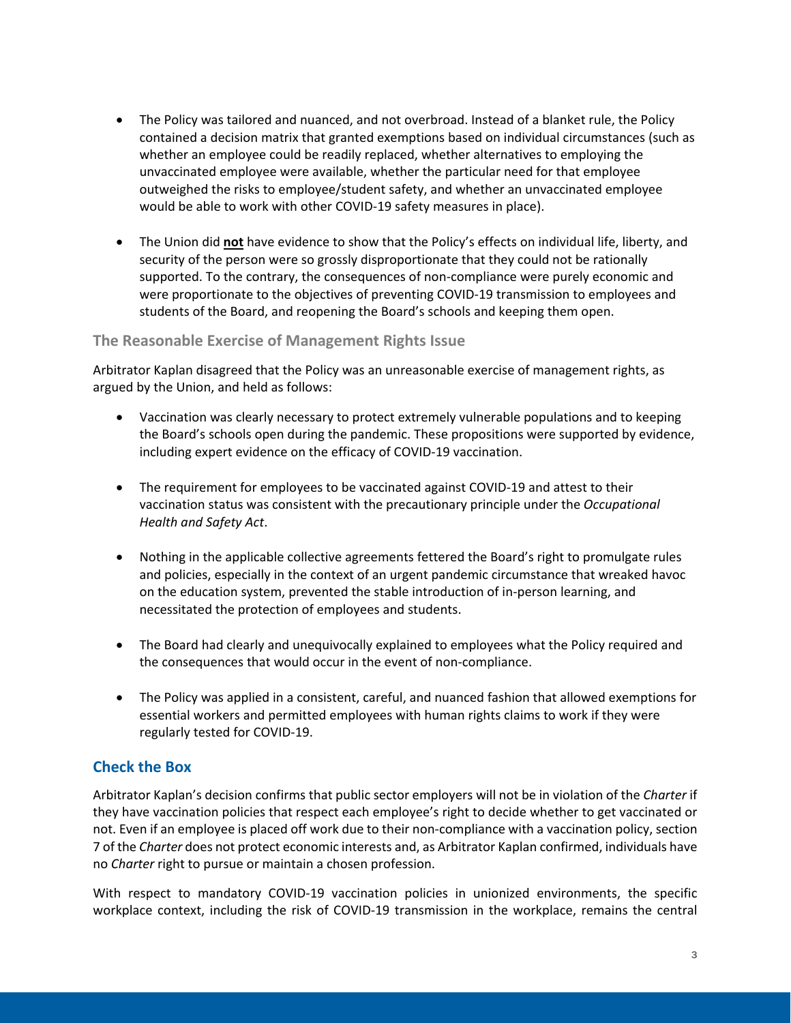- The Policy was tailored and nuanced, and not overbroad. Instead of a blanket rule, the Policy contained a decision matrix that granted exemptions based on individual circumstances (such as whether an employee could be readily replaced, whether alternatives to employing the unvaccinated employee were available, whether the particular need for that employee outweighed the risks to employee/student safety, and whether an unvaccinated employee would be able to work with other COVID-19 safety measures in place).
- The Union did **not** have evidence to show that the Policy's effects on individual life, liberty, and security of the person were so grossly disproportionate that they could not be rationally supported. To the contrary, the consequences of non-compliance were purely economic and were proportionate to the objectives of preventing COVID-19 transmission to employees and students of the Board, and reopening the Board's schools and keeping them open.

#### **The Reasonable Exercise of Management Rights Issue**

Arbitrator Kaplan disagreed that the Policy was an unreasonable exercise of management rights, as argued by the Union, and held as follows:

- Vaccination was clearly necessary to protect extremely vulnerable populations and to keeping the Board's schools open during the pandemic. These propositions were supported by evidence, including expert evidence on the efficacy of COVID-19 vaccination.
- The requirement for employees to be vaccinated against COVID-19 and attest to their vaccination status was consistent with the precautionary principle under the *Occupational Health and Safety Act*.
- Nothing in the applicable collective agreements fettered the Board's right to promulgate rules and policies, especially in the context of an urgent pandemic circumstance that wreaked havoc on the education system, prevented the stable introduction of in-person learning, and necessitated the protection of employees and students.
- The Board had clearly and unequivocally explained to employees what the Policy required and the consequences that would occur in the event of non-compliance.
- The Policy was applied in a consistent, careful, and nuanced fashion that allowed exemptions for essential workers and permitted employees with human rights claims to work if they were regularly tested for COVID-19.

#### **Check the Box**

Arbitrator Kaplan's decision confirms that public sector employers will not be in violation of the *Charter* if they have vaccination policies that respect each employee's right to decide whether to get vaccinated or not. Even if an employee is placed off work due to their non-compliance with a vaccination policy, section 7 of the *Charter* does not protect economic interests and, as Arbitrator Kaplan confirmed, individuals have no *Charter* right to pursue or maintain a chosen profession.

With respect to mandatory COVID-19 vaccination policies in unionized environments, the specific workplace context, including the risk of COVID-19 transmission in the workplace, remains the central